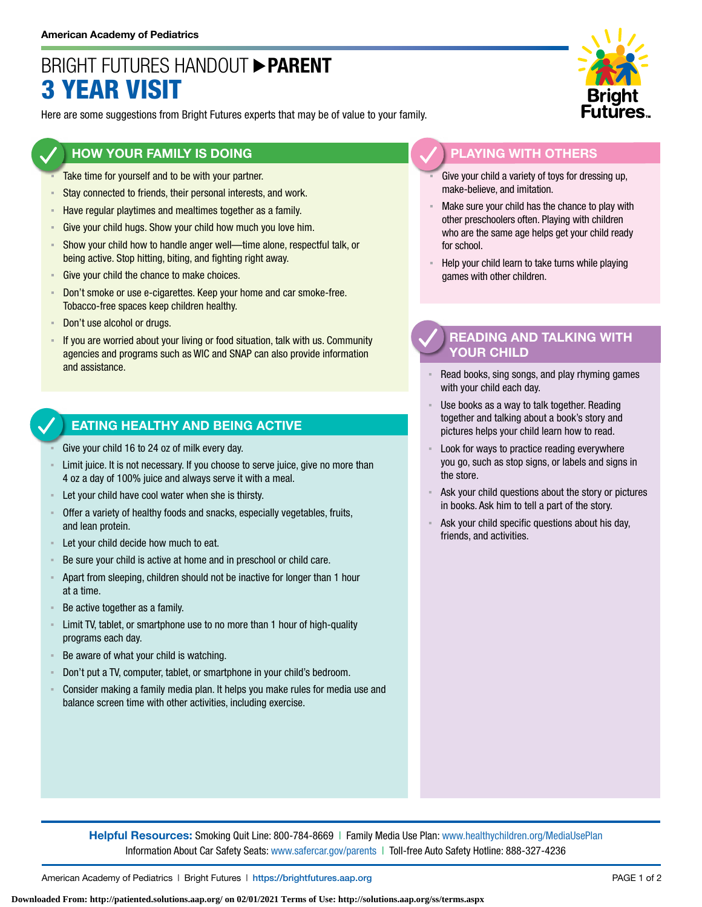# BRIGHT FUTURES HANDOUT **PARENT** 3 YEAR VISIT

Here are some suggestions from Bright Futures experts that may be of value to your family.

## **HOW YOUR FAMILY IS DOING**

- Take time for yourself and to be with your partner.
- **EXECT** Stay connected to friends, their personal interests, and work.
- **EXECTE Have regular playtimes and mealtimes together as a family.**
- **EXECT:** Give your child hugs. Show your child how much you love him.
- Show your child how to handle anger well—time alone, respectful talk, or being active. Stop hitting, biting, and fighting right away.
- Give your child the chance to make choices.
- **EXECT** Don't smoke or use e-cigarettes. Keep your home and car smoke-free. Tobacco-free spaces keep children healthy.
- Don't use alcohol or drugs.
- If you are worried about your living or food situation, talk with us. Community agencies and programs such as WIC and SNAP can also provide information and assistance.

#### **EATING HEALTHY AND BEING ACTIVE**

- Give your child 16 to 24 oz of milk every day.
- Limit juice. It is not necessary. If you choose to serve juice, give no more than 4 oz a day of 100% juice and always serve it with a meal.
- Let your child have cool water when she is thirsty.
- Offer a variety of healthy foods and snacks, especially vegetables, fruits, and lean protein.
- Let your child decide how much to eat.
- Be sure your child is active at home and in preschool or child care.
- Apart from sleeping, children should not be inactive for longer than 1 hour at a time.
- Be active together as a family.
- **EXECT** Limit TV, tablet, or smartphone use to no more than 1 hour of high-quality programs each day.
- Be aware of what your child is watching.
- Don't put a TV, computer, tablet, or smartphone in your child's bedroom.
- Consider making a family media plan. It helps you make rules for media use and balance screen time with other activities, including exercise.



# **PLAYING WITH OTHERS**

- Give your child a variety of toys for dressing up, make-believe, and imitation.
- Make sure your child has the chance to play with other preschoolers often. Playing with children who are the same age helps get your child ready for school.
- Help your child learn to take turns while playing games with other children.

## **READING AND TALKING WITH YOUR CHILD**

- Read books, sing songs, and play rhyming games with your child each day.
- Use books as a way to talk together. Reading together and talking about a book's story and pictures helps your child learn how to read.
- Look for ways to practice reading everywhere you go, such as stop signs, or labels and signs in the store.
- Ask your child questions about the story or pictures in books. Ask him to tell a part of the story.
- Ask your child specific questions about his day, friends, and activities.

**Helpful Resources:** Smoking Quit Line: 800-784-8669 | Family Media Use Plan: [www.healthychildren.org/MediaUsePlan](https://www.healthychildren.org/English/media/Pages/default.aspx) Information About Car Safety Seats: [www.safercar.gov/parents](https://www.nhtsa.gov/parents-and-caregivers) | Toll-free Auto Safety Hotline: 888-327-4236

**Downloaded From: http://patiented.solutions.aap.org/ on 02/01/2021 Terms of Use: http://solutions.aap.org/ss/terms.aspx**